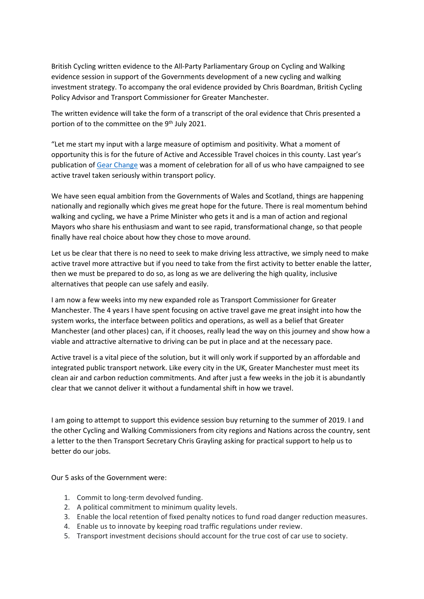British Cycling written evidence to the All-Party Parliamentary Group on Cycling and Walking evidence session in support of the Governments development of a new cycling and walking investment strategy. To accompany the oral evidence provided by Chris Boardman, British Cycling Policy Advisor and Transport Commissioner for Greater Manchester.

The written evidence will take the form of a transcript of the oral evidence that Chris presented a portion of to the committee on the 9<sup>th</sup> July 2021.

"Let me start my input with a large measure of optimism and positivity. What a moment of opportunity this is for the future of Active and Accessible Travel choices in this county. Last year's publication of [Gear Change](https://www.gov.uk/government/publications/cycling-and-walking-plan-for-england) was a moment of celebration for all of us who have campaigned to see active travel taken seriously within transport policy.

We have seen equal ambition from the Governments of Wales and Scotland, things are happening nationally and regionally which gives me great hope for the future. There is real momentum behind walking and cycling, we have a Prime Minister who gets it and is a man of action and regional Mayors who share his enthusiasm and want to see rapid, transformational change, so that people finally have real choice about how they chose to move around.

Let us be clear that there is no need to seek to make driving less attractive, we simply need to make active travel more attractive but if you need to take from the first activity to better enable the latter, then we must be prepared to do so, as long as we are delivering the high quality, inclusive alternatives that people can use safely and easily.

I am now a few weeks into my new expanded role as Transport Commissioner for Greater Manchester. The 4 years I have spent focusing on active travel gave me great insight into how the system works, the interface between politics and operations, as well as a belief that Greater Manchester (and other places) can, if it chooses, really lead the way on this journey and show how a viable and attractive alternative to driving can be put in place and at the necessary pace.

Active travel is a vital piece of the solution, but it will only work if supported by an affordable and integrated public transport network. Like every city in the UK, Greater Manchester must meet its clean air and carbon reduction commitments. And after just a few weeks in the job it is abundantly clear that we cannot deliver it without a fundamental shift in how we travel.

I am going to attempt to support this evidence session buy returning to the summer of 2019. I and the other Cycling and Walking Commissioners from city regions and Nations across the country, sent a letter to the then Transport Secretary Chris Grayling asking for practical support to help us to better do our jobs.

Our 5 asks of the Government were:

- 1. Commit to long-term devolved funding.
- 2. A political commitment to minimum quality levels.
- 3. Enable the local retention of fixed penalty notices to fund road danger reduction measures.
- 4. Enable us to innovate by keeping road traffic regulations under review.
- 5. Transport investment decisions should account for the true cost of car use to society.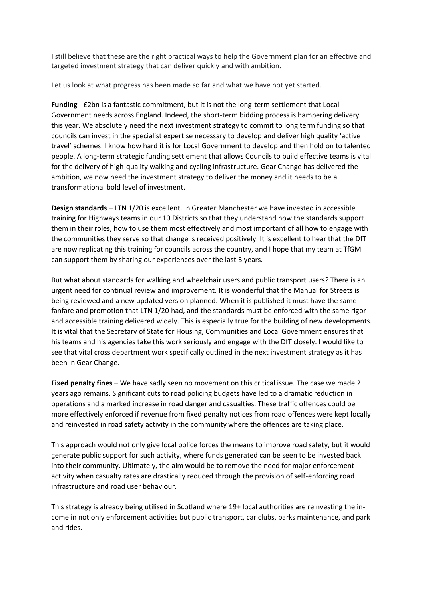I still believe that these are the right practical ways to help the Government plan for an effective and targeted investment strategy that can deliver quickly and with ambition.

Let us look at what progress has been made so far and what we have not yet started.

**Funding** - £2bn is a fantastic commitment, but it is not the long-term settlement that Local Government needs across England. Indeed, the short-term bidding process is hampering delivery this year. We absolutely need the next investment strategy to commit to long term funding so that councils can invest in the specialist expertise necessary to develop and deliver high quality 'active travel' schemes. I know how hard it is for Local Government to develop and then hold on to talented people. A long-term strategic funding settlement that allows Councils to build effective teams is vital for the delivery of high-quality walking and cycling infrastructure. Gear Change has delivered the ambition, we now need the investment strategy to deliver the money and it needs to be a transformational bold level of investment.

**Design standards** – LTN 1/20 is excellent. In Greater Manchester we have invested in accessible training for Highways teams in our 10 Districts so that they understand how the standards support them in their roles, how to use them most effectively and most important of all how to engage with the communities they serve so that change is received positively. It is excellent to hear that the DfT are now replicating this training for councils across the country, and I hope that my team at TfGM can support them by sharing our experiences over the last 3 years.

But what about standards for walking and wheelchair users and public transport users? There is an urgent need for continual review and improvement. It is wonderful that the Manual for Streets is being reviewed and a new updated version planned. When it is published it must have the same fanfare and promotion that LTN 1/20 had, and the standards must be enforced with the same rigor and accessible training delivered widely. This is especially true for the building of new developments. It is vital that the Secretary of State for Housing, Communities and Local Government ensures that his teams and his agencies take this work seriously and engage with the DfT closely. I would like to see that vital cross department work specifically outlined in the next investment strategy as it has been in Gear Change.

**Fixed penalty fines** – We have sadly seen no movement on this critical issue. The case we made 2 years ago remains. Significant cuts to road policing budgets have led to a dramatic reduction in operations and a marked increase in road danger and casualties. These traffic offences could be more effectively enforced if revenue from fixed penalty notices from road offences were kept locally and reinvested in road safety activity in the community where the offences are taking place.

This approach would not only give local police forces the means to improve road safety, but it would generate public support for such activity, where funds generated can be seen to be invested back into their community. Ultimately, the aim would be to remove the need for major enforcement activity when casualty rates are drastically reduced through the provision of self-enforcing road infrastructure and road user behaviour.

This strategy is already being utilised in Scotland where 19+ local authorities are reinvesting the income in not only enforcement activities but public transport, car clubs, parks maintenance, and park and rides.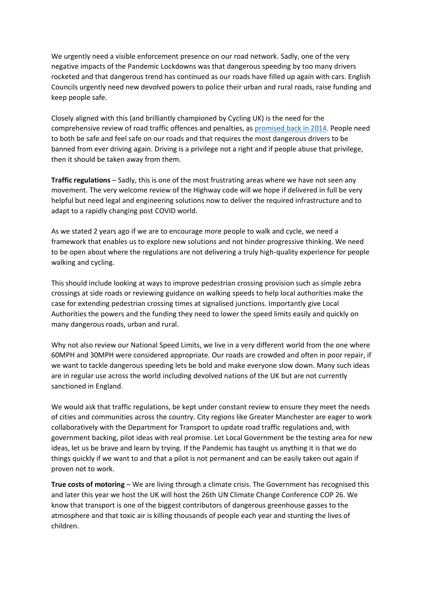We urgently need a visible enforcement presence on our road network. Sadly, one of the very negative impacts of the Pandemic Lockdowns was that dangerous speeding by too many drivers rocketed and that dangerous trend has continued as our roads have filled up again with cars. English Councils urgently need new devolved powers to police their urban and rural roads, raise funding and keep people safe.

Closely aligned with this (and brilliantly championed by Cycling UK) is the need for the comprehensive review of road traffic offences and penalties, as [promised back in 2014.](https://gbr01.safelinks.protection.outlook.com/?url=https%3A%2F%2Fwww.cyclinguk.org%2Fnews%2Fgovernment-announces-full-review-of-driving-offences-and-penalties&data=04%7C01%7CNickChamberlin%40britishcycling.org.uk%7C8cf2c75aa3e4488b13da08d93d6b8f98%7C3255a076e8484c6c8b8040a322d59250%7C0%7C0%7C637608356176900804%7CUnknown%7CTWFpbGZsb3d8eyJWIjoiMC4wLjAwMDAiLCJQIjoiV2luMzIiLCJBTiI6Ik1haWwiLCJXVCI6Mn0%3D%7C0&sdata=Tbz5DcySae2ssqwE1mkOfiHCKNV05NaQRIyTWFVs2K8%3D&reserved=0) People need to both be safe and feel safe on our roads and that requires the most dangerous drivers to be banned from ever driving again. Driving is a privilege not a right and if people abuse that privilege, then it should be taken away from them.

**Traffic regulations** – Sadly, this is one of the most frustrating areas where we have not seen any movement. The very welcome review of the Highway code will we hope if delivered in full be very helpful but need legal and engineering solutions now to deliver the required infrastructure and to adapt to a rapidly changing post COVID world.

As we stated 2 years ago if we are to encourage more people to walk and cycle, we need a framework that enables us to explore new solutions and not hinder progressive thinking. We need to be open about where the regulations are not delivering a truly high-quality experience for people walking and cycling.

This should include looking at ways to improve pedestrian crossing provision such as simple zebra crossings at side roads or reviewing guidance on walking speeds to help local authorities make the case for extending pedestrian crossing times at signalised junctions. Importantly give Local Authorities the powers and the funding they need to lower the speed limits easily and quickly on many dangerous roads, urban and rural.

Why not also review our National Speed Limits, we live in a very different world from the one where 60MPH and 30MPH were considered appropriate. Our roads are crowded and often in poor repair, if we want to tackle dangerous speeding lets be bold and make everyone slow down. Many such ideas are in regular use across the world including devolved nations of the UK but are not currently sanctioned in England.

We would ask that traffic regulations, be kept under constant review to ensure they meet the needs of cities and communities across the country. City regions like Greater Manchester are eager to work collaboratively with the Department for Transport to update road traffic regulations and, with government backing, pilot ideas with real promise. Let Local Government be the testing area for new ideas, let us be brave and learn by trying. If the Pandemic has taught us anything it is that we do things quickly if we want to and that a pilot is not permanent and can be easily taken out again if proven not to work.

**True costs of motoring** – We are living through a climate crisis. The Government has recognised this and later this year we host the UK will host the 26th UN Climate Change Conference COP 26. We know that transport is one of the biggest contributors of dangerous greenhouse gasses to the atmosphere and that toxic air is killing thousands of people each year and stunting the lives of children.